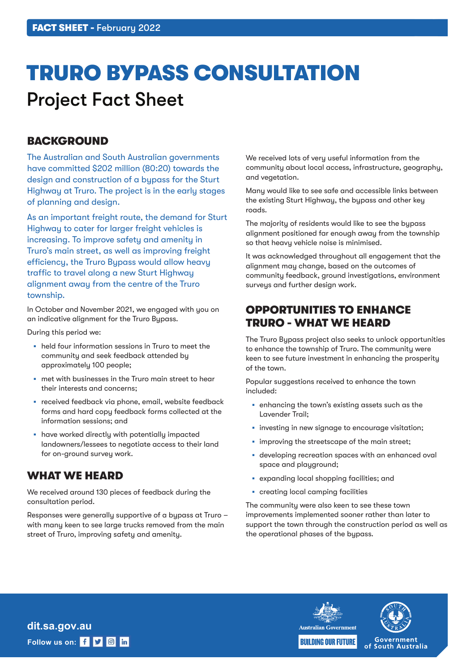# TRURO BYPASS CONSULTATION Project Fact Sheet

## **BACKGROUND**

The Australian and South Australian governments have committed \$202 million (80:20) towards the design and construction of a bypass for the Sturt Highway at Truro. The project is in the early stages of planning and design.

As an important freight route, the demand for Sturt Highway to cater for larger freight vehicles is increasing. To improve safety and amenity in Truro's main street, as well as improving freight efficiency, the Truro Bypass would allow heavy traffic to travel along a new Sturt Highway alignment away from the centre of the Truro township.

In October and November 2021, we engaged with you on an indicative alignment for the Truro Bypass.

During this period we:

- held four information sessions in Truro to meet the community and seek feedback attended by approximately 100 people;
- met with businesses in the Truro main street to hear their interests and concerns;
- received feedback via phone, email, website feedback forms and hard copy feedback forms collected at the information sessions; and
- have worked directly with potentially impacted landowners/lessees to negotiate access to their land for on-ground survey work.

## WHAT WE HEARD

We received around 130 pieces of feedback during the consultation period.

Responses were generally supportive of a bypass at Truro – with many keen to see large trucks removed from the main street of Truro, improving safety and amenity.

We received lots of very useful information from the community about local access, infrastructure, geography, and vegetation.

Many would like to see safe and accessible links between the existing Sturt Highway, the bypass and other key roads.

The majority of residents would like to see the bypass alignment positioned far enough away from the township so that heavy vehicle noise is minimised.

It was acknowledged throughout all engagement that the alignment may change, based on the outcomes of community feedback, ground investigations, environment surveys and further design work.

## OPPORTUNITIES TO ENHANCE TRURO - WHAT WE HEARD

The Truro Bypass project also seeks to unlock opportunities to enhance the township of Truro. The community were keen to see future investment in enhancing the prosperity of the town.

Popular suggestions received to enhance the town included:

- enhancing the town's existing assets such as the Lavender Trail;
- **·** investing in new signage to encourage visitation;
- **improving the streetscape of the main street;**
- developing recreation spaces with an enhanced oval space and playground;
- expanding local shopping facilities; and
- creating local camping facilities

The community were also keen to see these town improvements implemented sooner rather than later to support the town through the construction period as well as the operational phases of the bypass.



Follow us on: **f y a** in **dit.sa.gov.au**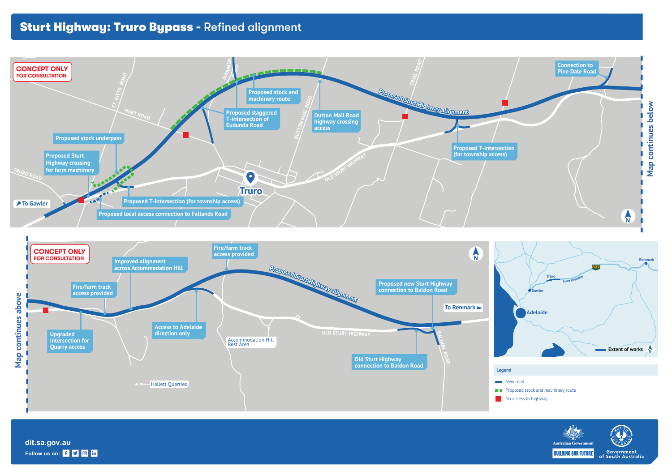

**Follow us on: f y in dit.sa.gov.au**

- 
- 
- 



## Sturt Highway: Truro Bypass - Refined alignment